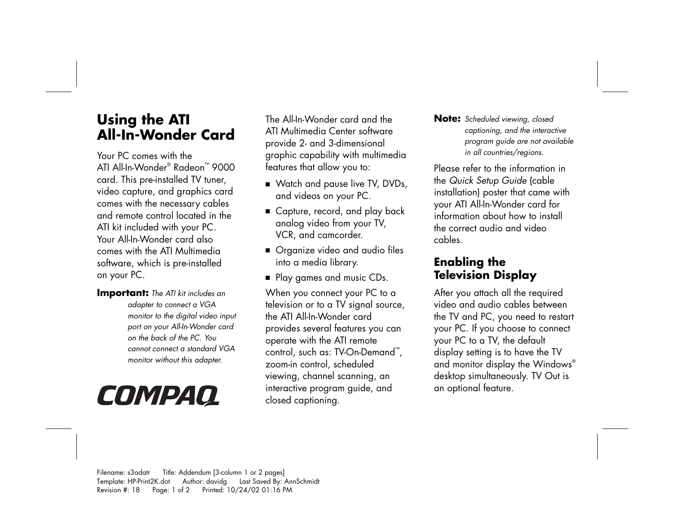# **Using the ATI All-In-Wonder Card**

Your PC comes with the ATI All-In-Wonder® Radeon™ 9000 card. This pre-installed TV tuner, video capture, and graphics card comes with the necessary cables and remote control located in the ATI kit included with your PC. Your All-In-Wonder card also comes with the ATI Multimedia software, which is pre-installed on your PC.

**Important:** *The ATI kit includes an adapter to connect a VGA monitor to the digital video input port on your All-In-Wonder card on the back of the PC. You cannot connect a standard VGA monitor without this adapter.* 

# COMPAQ

The All-In-Wonder card and the ATI Multimedia Center software provide 2- and 3-dimensional graphic capability with multimedia features that allow you to:

- Watch and pause live TV, DVDs, and videos on your PC.
- Capture, record, and play back analog video from your TV, VCR, and camcorder.
- Organize video and audio files into a media library.
- Play games and music CDs.

When you connect your PC to a television or to a TV signal source, the ATI All-In-Wonder card provides several features you can operate with the ATI remote control, such as: TV-On-Demand ™ , zoom-in control, scheduled viewing, channel scanning, an interactive program guide, and closed captioning.

**Note:** *Scheduled viewing, closed captioning, and the interactive program guide are not available in all countries/regions.* 

Please refer to the information in the *Quick Setup Guide* (cable installation) poster that came with your ATI All-In-Wonder card for information about how to install the correct audio and video cables.

## **Enabling the Television Display**

After you attach all the required video and audio cables between the TV and PC, you need to restart your PC. If you choose to connect your PC to a TV, the default display setting is to have the TV and monitor display the Windows® desktop simultaneously. TV Out is an optional feature.